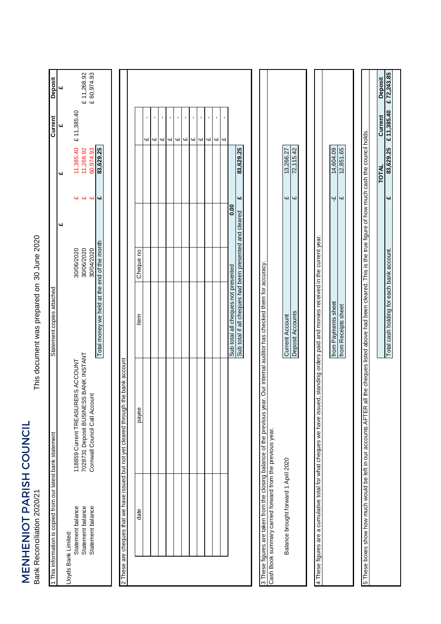MENHENIOT PARISH COUNCIL<br>Bank Reconciliation 2020/21 MENHENIOT PARISH COUNCIL Bank Reconciliation 2020/21

This document was prepared on 30 June 2020 This document was prepared on

| 1 This information is copied from our latest bank statement |                                                                                                                                                                            | Statement copies attached                               |            |                         |              | Current                    | <b>Deposit</b> |
|-------------------------------------------------------------|----------------------------------------------------------------------------------------------------------------------------------------------------------------------------|---------------------------------------------------------|------------|-------------------------|--------------|----------------------------|----------------|
| Lloyds Bank Limited:                                        |                                                                                                                                                                            |                                                         | 4d         |                         | 4d           | 4d                         | 4d             |
| Statement balance                                           | 118859 Current TREASURERS ACCOUNT                                                                                                                                          |                                                         | 30/06/2020 |                         | 11,385.40    | £ 11,385.40                |                |
| Statement balance                                           | 7028731 Deposit BUSINESS BANK INSTANT                                                                                                                                      |                                                         | 30/06/2020 |                         | 11,268.92    |                            | £ 11,268.92    |
| Statement balance                                           | Cornwall Council Call Account                                                                                                                                              |                                                         | 30/04/2020 | <b>4 4 4</b>            | 60,974.93    |                            | £ 60,974.93    |
|                                                             |                                                                                                                                                                            | Total money we held at the end of the month             |            | $\overline{\mathbf{u}}$ | 83,629.25    |                            |                |
|                                                             |                                                                                                                                                                            |                                                         |            |                         |              |                            |                |
|                                                             | 2 These are cheques that we have issued but not yet cleared through the bank account                                                                                       |                                                         |            |                         |              |                            |                |
|                                                             |                                                                                                                                                                            |                                                         |            |                         |              |                            |                |
| date                                                        | payee                                                                                                                                                                      | ltem                                                    | Cheque no  |                         |              |                            |                |
|                                                             |                                                                                                                                                                            |                                                         |            |                         |              | $\mathbf{r}$<br>Ч          |                |
|                                                             |                                                                                                                                                                            |                                                         |            |                         |              | ı<br><b>G</b>              |                |
|                                                             |                                                                                                                                                                            |                                                         |            |                         |              | ı<br><b>GJ</b>             |                |
|                                                             |                                                                                                                                                                            |                                                         |            |                         |              | 41                         |                |
|                                                             |                                                                                                                                                                            |                                                         |            |                         |              | $\blacksquare$<br>Щ        |                |
|                                                             |                                                                                                                                                                            |                                                         |            |                         |              | f,<br>41                   |                |
|                                                             |                                                                                                                                                                            |                                                         |            |                         |              | $\blacksquare$<br>$\omega$ |                |
|                                                             |                                                                                                                                                                            |                                                         |            |                         |              | $\blacksquare$<br>4        |                |
|                                                             |                                                                                                                                                                            |                                                         |            |                         |              | ω                          |                |
|                                                             |                                                                                                                                                                            |                                                         |            |                         |              | $\mathbf{r}$<br>ω          |                |
|                                                             |                                                                                                                                                                            |                                                         |            |                         |              | ı<br>СN                    |                |
|                                                             |                                                                                                                                                                            | Sub total all cheques not presented                     |            | 0.00                    |              |                            |                |
|                                                             |                                                                                                                                                                            | Sub total if all cheques had been presented and cleared |            | £                       | 83,629.25    |                            |                |
|                                                             |                                                                                                                                                                            |                                                         |            |                         |              |                            |                |
| Cash Book summary carried forward from the previous year.   | 3 These figures are taken from the closing balance of the previous year. Our internal auditor has checked them for accuracy.                                               |                                                         |            |                         |              |                            |                |
|                                                             |                                                                                                                                                                            |                                                         |            |                         |              |                            |                |
| Balance brought forward 1 April 2020                        |                                                                                                                                                                            | <b>Current Account</b>                                  |            | $\overline{\mathbf{u}}$ | 13,266.27    |                            |                |
|                                                             |                                                                                                                                                                            | Deposit Accounts                                        |            | $\omega$                | 72,115.42    |                            |                |
|                                                             |                                                                                                                                                                            |                                                         |            |                         |              |                            |                |
|                                                             | 4 These figures are a cumulative total for what cheques we have issued, standing orders paid and monies received in the current year.                                      |                                                         |            |                         |              |                            |                |
|                                                             |                                                                                                                                                                            | from Payments sheet                                     |            | $\ddot{\mathbf{r}}$     | 14,604.09    |                            |                |
|                                                             |                                                                                                                                                                            | from Receipts sheet                                     |            | $\omega$                | 12,851.65    |                            |                |
|                                                             |                                                                                                                                                                            |                                                         |            |                         |              |                            |                |
|                                                             | 5 These boxes show how much would be left in our accounts AFTER all the cheques listed above had been cleared. This is the true figure of how much cash the council holds. |                                                         |            |                         |              |                            |                |
|                                                             |                                                                                                                                                                            |                                                         |            |                         | <b>TOTAL</b> | Current                    | <b>Deposit</b> |
|                                                             |                                                                                                                                                                            | Total cash holding for each bank account.               |            | 4                       | 83,629.25    | £11,385.40                 | £72,243.85     |
|                                                             |                                                                                                                                                                            |                                                         |            |                         |              |                            |                |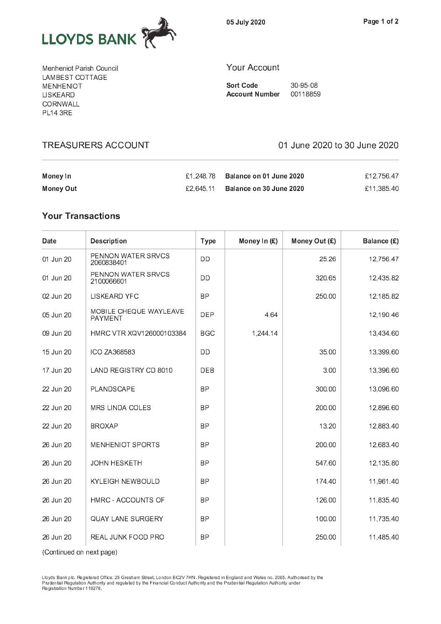

05 July 2020

Menheniot Parish Council LAMBEST COTTAGE **MENHENIOT LISKEARD CORNWALL PL14 3RE** 

#### Your Account

**Sort Code** 30-95-08 Account Number 00118859

| Money In  | £1.248.78 Balance on 01 June 2020 | £12.756.47 |
|-----------|-----------------------------------|------------|
| Money Out | £2.645.11 Balance on 30 June 2020 | £11.385.40 |

<sup>T</sup> <sup>R</sup> <sup>E</sup> <sup>A</sup> <sup>S</sup> <sup>U</sup> <sup>R</sup> <sup>E</sup> <sup>R</sup> <sup>S</sup> <sup>A</sup> <sup>C</sup> <sup>C</sup> <sup>O</sup> <sup>U</sup> <sup>N</sup> <sup>T</sup> <sup>0</sup> <sup>1</sup> <sup>J</sup> <sup>u</sup> <sup>n</sup> <sup>e</sup> <sup>2</sup> <sup>0</sup> <sup>2</sup> <sup>0</sup> t o <sup>3</sup> <sup>0</sup> <sup>J</sup> <sup>u</sup> <sup>n</sup> <sup>e</sup> <sup>2</sup> <sup>0</sup> <sup>2</sup> <sup>0</sup>

# **Your Transactions**

| Date      | <b>Description</b>                | <b>Type</b> | Money In (£) | Money Out (£) | Balance (£) |
|-----------|-----------------------------------|-------------|--------------|---------------|-------------|
| 01 Jun 20 | PENNON WATER SRVCS<br>2060838401  | DD          |              | 25.26         | 12,756.47   |
| 01 Jun 20 | PENNON WATER SRVCS<br>2100066601  | DD          |              | 320.65        | 12,435.82   |
| 02 Jun 20 | LISKEARD YFC                      | <b>BP</b>   |              | 250.00        | 12,185.82   |
| 05 Jun 20 | MOBILE CHEQUE WAYLEAVE<br>PAYMENT | <b>DEP</b>  | 4.64         |               | 12,190.46   |
| 09 Jun 20 | HMRC VTR XQV126000103384          | <b>BGC</b>  | 1,244.14     |               | 13,434.60   |
| 15 Jun 20 | ICO ZA368583                      | DD          |              | 35.00         | 13,399.60   |
| 17 Jun 20 | LAND REGISTRY CD 8010             | <b>DEB</b>  |              | 3.00          | 13,396.60   |
| 22 Jun 20 | PLANDSCAPE                        | <b>BP</b>   |              | 300.00        | 13,096.60   |
| 22 Jun 20 | MRS LINDA COLES                   | <b>BP</b>   |              | 200.00        | 12,896.60   |
| 22 Jun 20 | <b>BROXAP</b>                     | <b>BP</b>   |              | 13.20         | 12,883.40   |
| 26 Jun 20 | MENHENIOT SPORTS                  | BP          |              | 200.00        | 12,683.40   |
| 26 Jun 20 | <b>JOHN HESKETH</b>               | <b>BP</b>   |              | 547.60        | 12,135.80   |
| 26 Jun 20 | <b>KYLEIGH NEWBOULD</b>           | <b>BP</b>   |              | 174.40        | 11,961.40   |
| 26 Jun 20 | HMRC - ACCOUNTS OF                | <b>BP</b>   |              | 126.00        | 11,835.40   |
| 26 Jun 20 | <b>QUAY LANE SURGERY</b>          | <b>BP</b>   |              | 100.00        | 11,735.40   |
| 26 Jun 20 | REAL JUNK FOOD PRO                | <b>BP</b>   |              | 250.00        | 11,485.40   |

(Continued on next page)

Lloyds Bank plc. Registered Office: 25 Gresham Street, London EC2V 7HN. Registered in England and Wales no. 2065. Authorised by th Registration Number 119278.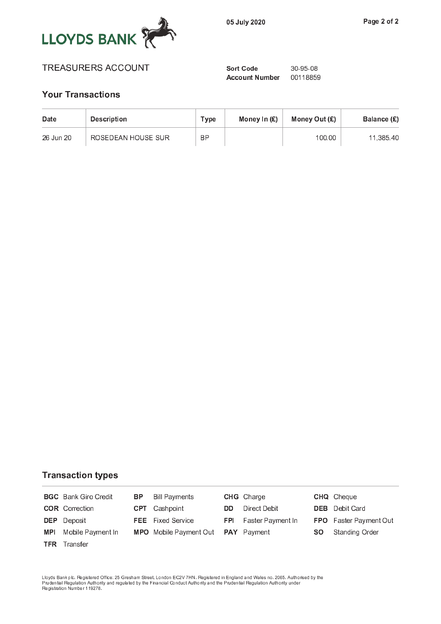

# TREASURERS ACCOUNT Sort Code 30-95-08

Account Number 00118859

# **Your Transactions**

| Date      | <b>Description</b> | Type      | Money In $(E)$ | Money Out $(E)$ | Balance (£) |
|-----------|--------------------|-----------|----------------|-----------------|-------------|
| 26 Jun 20 | ROSEDEAN HOUSE SUR | <b>BP</b> |                | 100.00          | 11.385.40   |

# **Transaction types**

|            | <b>BGC</b> Bank Giro Credit | BP. | <b>Bill Payments</b>                             |     | <b>CHG</b> Charge            |     | <b>CHQ</b> Cheque      |
|------------|-----------------------------|-----|--------------------------------------------------|-----|------------------------------|-----|------------------------|
|            | <b>COR</b> Correction       |     | <b>CPT</b> Cashpoint                             | DD. | Direct Debit                 |     | <b>DEB</b> Debit Card  |
|            | <b>DEP</b> Deposit          |     | <b>FEE</b> Fixed Service                         |     | <b>FPI</b> Faster Payment In |     | FPO Faster Payment Out |
| <b>MPI</b> | Mobile Payment In           |     | <b>MPO</b> Mobile Payment Out <b>PAY</b> Payment |     |                              | SO. | Standing Order         |
|            | <b>TFR</b> Transfer         |     |                                                  |     |                              |     |                        |
|            |                             |     |                                                  |     |                              |     |                        |

Lloyds Bank plc. Registered Office: 25 Gresham Street, London EC2V 7HN. Registered in England and Wales no. 2065. Authorised by th<br>Prudential Regulation Authority and regulated by the Financial Conduct Authority and the Pr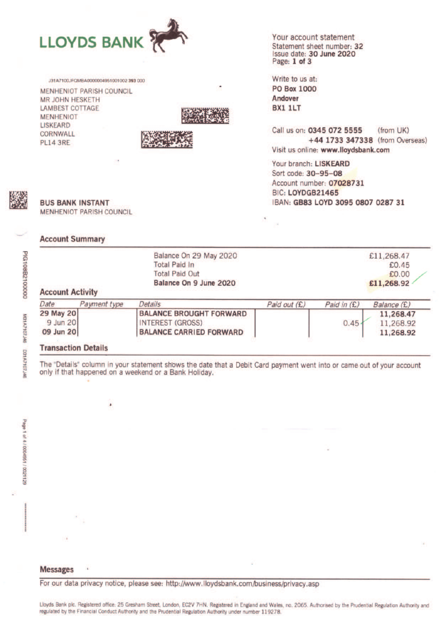

J31A7100JEOMRA0000004951001002393.000 **MENHENIOT PARISH COUNCIL MR JOHN HESKETH LAMBEST COTTAGE MENHENIOT LISKEARD** CORNWALL **PL14 3RE** 



Your account statement Statement sheet number: 32 Issue date: 30 June 2020 Page: 1 of 3

Write to us at: **PO Box 1000** Andover **BX1 1LT** 

Call us on: 0345 072 5555 (from UK) +44 1733 347338 (from Overseas) Visit us online: www.lloydsbank.com

Your branch: LISKEARD Sort code: 30-95-08 Account number: 07028731 BIC: LOYDGB21465 IBAN: GB83 LOYD 3095 0807 0287 31



**BUS BANK INSTANT MENHENIOT PARISH COUNCIL** 

#### **Account Summary**

| <b>Account Activity</b> |              | Balance On 29 May 2020<br><b>Total Paid In</b><br><b>Total Paid Out</b><br>Balance On 9 June 2020 |              |             | £11,268.47<br>£0.45<br>£0.00<br>£11,268.92 |
|-------------------------|--------------|---------------------------------------------------------------------------------------------------|--------------|-------------|--------------------------------------------|
| Date                    | Payment type | Details                                                                                           | Paid out (£) | Paid in (£) | Balance (£)                                |
| 29 May 20               |              | <b>BALANCE BROUGHT FORWARD</b>                                                                    |              |             | 11,268.47                                  |
| 9 Jun 20                |              | <b>INTEREST (GROSS)</b>                                                                           |              | 0.45        | 11,268.92                                  |
| 09 Jun 20               |              | <b>BALANCE CARRIED FORWARD</b>                                                                    |              |             | 11,268.92                                  |

#### **Transaction Details**

٠

The "Details" column in your statement shows the date that a Debit Card payment went into or came out of your account only if that happened on a weekend or a Bank Holiday.

For our data privacy notice, please see: http://www.lloydsbank.com/business/privacy.asp

Lloyds Bank plc. Registered office: 25 Gresham Street, London, EC2V 7HN. Registered in England and Wales, no. 2065. Authorised by the Prudential Regulation Authority and regulated by the Financial Conduct Authority and the Prudential Regulation Authority under number 119278.

M31A7107J46 D31A7107J#6

PIG108B2100000